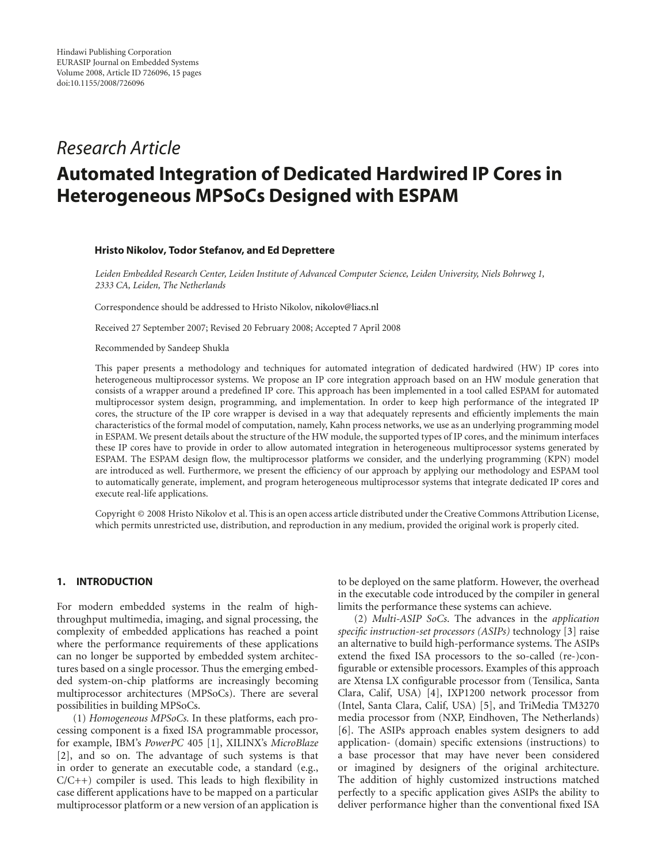## *Research Article*

# **Automated Integration of Dedicated Hardwired IP Cores in Heterogeneous MPSoCs Designed with ESPAM**

#### **Hristo Nikolov, Todor Stefanov, and Ed Deprettere**

*Leiden Embedded Research Center, Leiden Institute of Advanced Computer Science, Leiden University, Niels Bohrweg 1, 2333 CA, Leiden, The Netherlands*

Correspondence should be addressed to Hristo Nikolov, nikolov@liacs.nl

Received 27 September 2007; Revised 20 February 2008; Accepted 7 April 2008

Recommended by Sandeep Shukla

This paper presents a methodology and techniques for automated integration of dedicated hardwired (HW) IP cores into heterogeneous multiprocessor systems. We propose an IP core integration approach based on an HW module generation that consists of a wrapper around a predefined IP core. This approach has been implemented in a tool called ESPAM for automated multiprocessor system design, programming, and implementation. In order to keep high performance of the integrated IP cores, the structure of the IP core wrapper is devised in a way that adequately represents and efficiently implements the main characteristics of the formal model of computation, namely, Kahn process networks, we use as an underlying programming model in ESPAM. We present details about the structure of the HW module, the supported types of IP cores, and the minimum interfaces these IP cores have to provide in order to allow automated integration in heterogeneous multiprocessor systems generated by ESPAM. The ESPAM design flow, the multiprocessor platforms we consider, and the underlying programming (KPN) model are introduced as well. Furthermore, we present the efficiency of our approach by applying our methodology and ESPAM tool to automatically generate, implement, and program heterogeneous multiprocessor systems that integrate dedicated IP cores and execute real-life applications.

Copyright © 2008 Hristo Nikolov et al. This is an open access article distributed under the Creative Commons Attribution License, which permits unrestricted use, distribution, and reproduction in any medium, provided the original work is properly cited.

## **1. INTRODUCTION**

For modern embedded systems in the realm of highthroughput multimedia, imaging, and signal processing, the complexity of embedded applications has reached a point where the performance requirements of these applications can no longer be supported by embedded system architectures based on a single processor. Thus the emerging embedded system-on-chip platforms are increasingly becoming multiprocessor architectures (MPSoCs). There are several possibilities in building MPSoCs.

(1) *Homogeneous MPSoCs.* In these platforms, each processing component is a fixed ISA programmable processor, for example, IBM's *PowerPC* 405 [1], XILINX's *MicroBlaze* [2], and so on. The advantage of such systems is that in order to generate an executable code, a standard (e.g., C/C++) compiler is used. This leads to high flexibility in case different applications have to be mapped on a particular multiprocessor platform or a new version of an application is to be deployed on the same platform. However, the overhead in the executable code introduced by the compiler in general limits the performance these systems can achieve.

(2) *Multi-ASIP SoCs*. The advances in the *application specific instruction-set processors (ASIPs)* technology [3] raise an alternative to build high-performance systems. The ASIPs extend the fixed ISA processors to the so-called (re-)configurable or extensible processors. Examples of this approach are Xtensa LX configurable processor from (Tensilica, Santa Clara, Calif, USA) [4], IXP1200 network processor from (Intel, Santa Clara, Calif, USA) [5], and TriMedia TM3270 media processor from (NXP, Eindhoven, The Netherlands) [6]. The ASIPs approach enables system designers to add application- (domain) specific extensions (instructions) to a base processor that may have never been considered or imagined by designers of the original architecture. The addition of highly customized instructions matched perfectly to a specific application gives ASIPs the ability to deliver performance higher than the conventional fixed ISA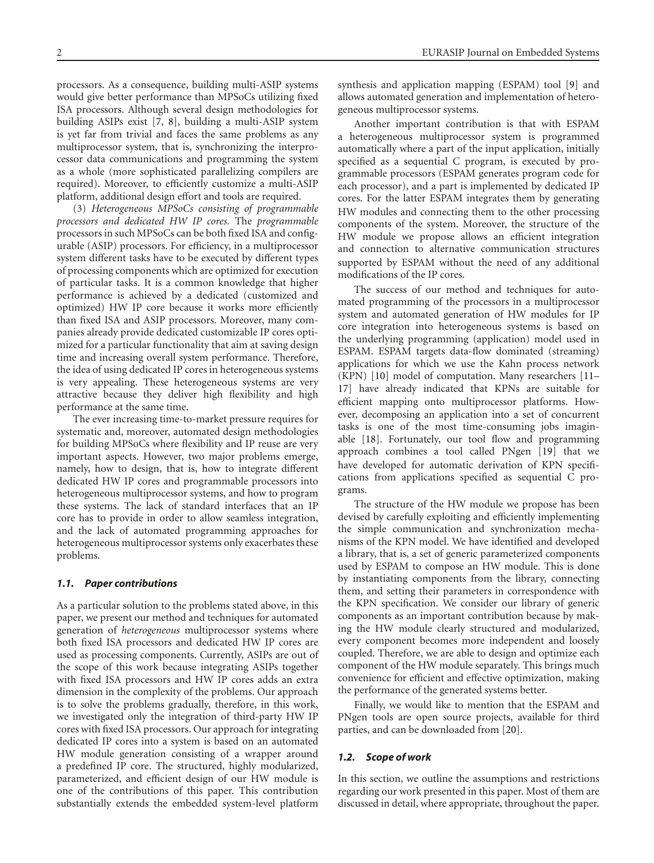processors. As a consequence, building multi-ASIP systems would give better performance than MPSoCs utilizing fixed ISA processors. Although several design methodologies for building ASIPs exist [7, 8], building a multi-ASIP system is yet far from trivial and faces the same problems as any multiprocessor system, that is, synchronizing the interprocessor data communications and programming the system as a whole (more sophisticated parallelizing compilers are required). Moreover, to efficiently customize a multi-ASIP platform, additional design effort and tools are required.

(3) *Heterogeneous MPSoCs consisting of programmable processors and dedicated HW IP cores.* The *programmable* processors in such MPSoCs can be both fixed ISA and configurable (ASIP) processors. For efficiency, in a multiprocessor system different tasks have to be executed by different types of processing components which are optimized for execution of particular tasks. It is a common knowledge that higher performance is achieved by a dedicated (customized and optimized) HW IP core because it works more efficiently than fixed ISA and ASIP processors. Moreover, many companies already provide dedicated customizable IP cores optimized for a particular functionality that aim at saving design time and increasing overall system performance. Therefore, the idea of using dedicated IP cores in heterogeneous systems is very appealing. These heterogeneous systems are very attractive because they deliver high flexibility and high performance at the same time.

The ever increasing time-to-market pressure requires for systematic and, moreover, automated design methodologies for building MPSoCs where flexibility and IP reuse are very important aspects. However, two major problems emerge, namely, how to design, that is, how to integrate different dedicated HW IP cores and programmable processors into heterogeneous multiprocessor systems, and how to program these systems. The lack of standard interfaces that an IP core has to provide in order to allow seamless integration, and the lack of automated programming approaches for heterogeneous multiprocessor systems only exacerbates these problems.

## *1.1. Paper contributions*

As a particular solution to the problems stated above, in this paper, we present our method and techniques for automated generation of *heterogeneous* multiprocessor systems where both fixed ISA processors and dedicated HW IP cores are used as processing components. Currently, ASIPs are out of the scope of this work because integrating ASIPs together with fixed ISA processors and HW IP cores adds an extra dimension in the complexity of the problems. Our approach is to solve the problems gradually, therefore, in this work, we investigated only the integration of third-party HW IP cores with fixed ISA processors. Our approach for integrating dedicated IP cores into a system is based on an automated HW module generation consisting of a wrapper around a predefined IP core. The structured, highly modularized, parameterized, and efficient design of our HW module is one of the contributions of this paper. This contribution substantially extends the embedded system-level platform

synthesis and application mapping (ESPAM) tool [9] and allows automated generation and implementation of heterogeneous multiprocessor systems.

Another important contribution is that with ESPAM a heterogeneous multiprocessor system is programmed automatically where a part of the input application, initially specified as a sequential C program, is executed by programmable processors (ESPAM generates program code for each processor), and a part is implemented by dedicated IP cores. For the latter ESPAM integrates them by generating HW modules and connecting them to the other processing components of the system. Moreover, the structure of the HW module we propose allows an efficient integration and connection to alternative communication structures supported by ESPAM without the need of any additional modifications of the IP cores.

The success of our method and techniques for automated programming of the processors in a multiprocessor system and automated generation of HW modules for IP core integration into heterogeneous systems is based on the underlying programming (application) model used in ESPAM. ESPAM targets data-flow dominated (streaming) applications for which we use the Kahn process network (KPN) [10] model of computation. Many researchers [11– 17] have already indicated that KPNs are suitable for efficient mapping onto multiprocessor platforms. However, decomposing an application into a set of concurrent tasks is one of the most time-consuming jobs imaginable [18]. Fortunately, our tool flow and programming approach combines a tool called PNgen [19] that we have developed for automatic derivation of KPN specifications from applications specified as sequential C programs.

The structure of the HW module we propose has been devised by carefully exploiting and efficiently implementing the simple communication and synchronization mechanisms of the KPN model. We have identified and developed a library, that is, a set of generic parameterized components used by ESPAM to compose an HW module. This is done by instantiating components from the library, connecting them, and setting their parameters in correspondence with the KPN specification. We consider our library of generic components as an important contribution because by making the HW module clearly structured and modularized, every component becomes more independent and loosely coupled. Therefore, we are able to design and optimize each component of the HW module separately. This brings much convenience for efficient and effective optimization, making the performance of the generated systems better.

Finally, we would like to mention that the ESPAM and PNgen tools are open source projects, available for third parties, and can be downloaded from [20].

## *1.2. Scope of work*

In this section, we outline the assumptions and restrictions regarding our work presented in this paper. Most of them are discussed in detail, where appropriate, throughout the paper.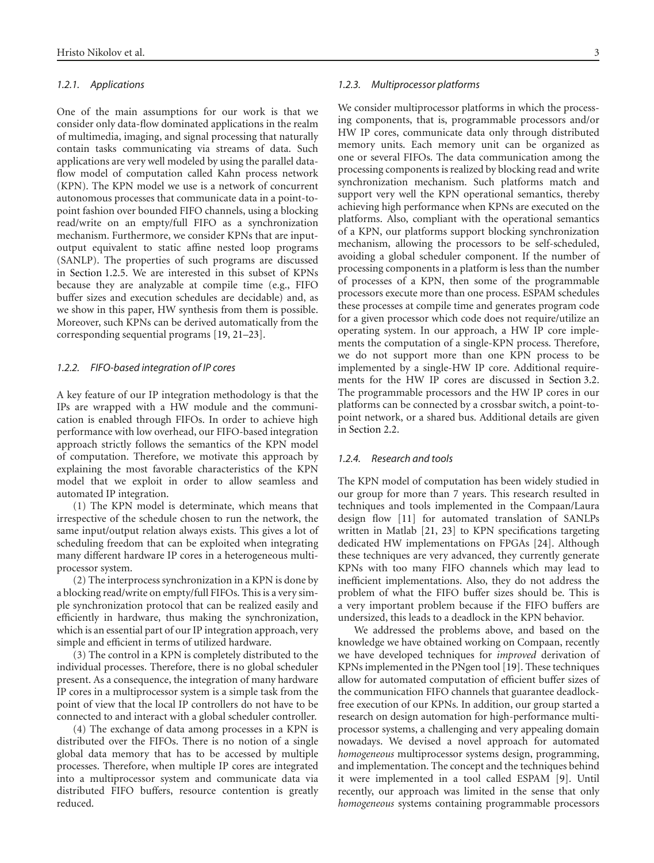#### *1.2.1. Applications*

One of the main assumptions for our work is that we consider only data-flow dominated applications in the realm of multimedia, imaging, and signal processing that naturally contain tasks communicating via streams of data. Such applications are very well modeled by using the parallel dataflow model of computation called Kahn process network (KPN). The KPN model we use is a network of concurrent autonomous processes that communicate data in a point-topoint fashion over bounded FIFO channels, using a blocking read/write on an empty/full FIFO as a synchronization mechanism. Furthermore, we consider KPNs that are inputoutput equivalent to static affine nested loop programs (SANLP). The properties of such programs are discussed in Section 1.2.5. We are interested in this subset of KPNs because they are analyzable at compile time (e.g., FIFO buffer sizes and execution schedules are decidable) and, as we show in this paper, HW synthesis from them is possible. Moreover, such KPNs can be derived automatically from the corresponding sequential programs [19, 21–23].

#### *1.2.2. FIFO-based integration of IP cores*

A key feature of our IP integration methodology is that the IPs are wrapped with a HW module and the communication is enabled through FIFOs. In order to achieve high performance with low overhead, our FIFO-based integration approach strictly follows the semantics of the KPN model of computation. Therefore, we motivate this approach by explaining the most favorable characteristics of the KPN model that we exploit in order to allow seamless and automated IP integration.

(1) The KPN model is determinate, which means that irrespective of the schedule chosen to run the network, the same input/output relation always exists. This gives a lot of scheduling freedom that can be exploited when integrating many different hardware IP cores in a heterogeneous multiprocessor system.

(2) The interprocess synchronization in a KPN is done by a blocking read/write on empty/full FIFOs. This is a very simple synchronization protocol that can be realized easily and efficiently in hardware, thus making the synchronization, which is an essential part of our IP integration approach, very simple and efficient in terms of utilized hardware.

(3) The control in a KPN is completely distributed to the individual processes. Therefore, there is no global scheduler present. As a consequence, the integration of many hardware IP cores in a multiprocessor system is a simple task from the point of view that the local IP controllers do not have to be connected to and interact with a global scheduler controller.

(4) The exchange of data among processes in a KPN is distributed over the FIFOs. There is no notion of a single global data memory that has to be accessed by multiple processes. Therefore, when multiple IP cores are integrated into a multiprocessor system and communicate data via distributed FIFO buffers, resource contention is greatly reduced.

## *1.2.3. Multiprocessor platforms*

We consider multiprocessor platforms in which the processing components, that is, programmable processors and/or HW IP cores, communicate data only through distributed memory units. Each memory unit can be organized as one or several FIFOs. The data communication among the processing components is realized by blocking read and write synchronization mechanism. Such platforms match and support very well the KPN operational semantics, thereby achieving high performance when KPNs are executed on the platforms. Also, compliant with the operational semantics of a KPN, our platforms support blocking synchronization mechanism, allowing the processors to be self-scheduled, avoiding a global scheduler component. If the number of processing components in a platform is less than the number of processes of a KPN, then some of the programmable processors execute more than one process. ESPAM schedules these processes at compile time and generates program code for a given processor which code does not require/utilize an operating system. In our approach, a HW IP core implements the computation of a single-KPN process. Therefore, we do not support more than one KPN process to be implemented by a single-HW IP core. Additional requirements for the HW IP cores are discussed in Section 3.2. The programmable processors and the HW IP cores in our platforms can be connected by a crossbar switch, a point-topoint network, or a shared bus. Additional details are given in Section 2.2.

#### *1.2.4. Research and tools*

The KPN model of computation has been widely studied in our group for more than 7 years. This research resulted in techniques and tools implemented in the Compaan/Laura design flow [11] for automated translation of SANLPs written in Matlab [21, 23] to KPN specifications targeting dedicated HW implementations on FPGAs [24]. Although these techniques are very advanced, they currently generate KPNs with too many FIFO channels which may lead to inefficient implementations. Also, they do not address the problem of what the FIFO buffer sizes should be. This is a very important problem because if the FIFO buffers are undersized, this leads to a deadlock in the KPN behavior.

We addressed the problems above, and based on the knowledge we have obtained working on Compaan, recently we have developed techniques for *improved* derivation of KPNs implemented in the PNgen tool [19]. These techniques allow for automated computation of efficient buffer sizes of the communication FIFO channels that guarantee deadlockfree execution of our KPNs. In addition, our group started a research on design automation for high-performance multiprocessor systems, a challenging and very appealing domain nowadays. We devised a novel approach for automated *homogeneous* multiprocessor systems design, programming, and implementation. The concept and the techniques behind it were implemented in a tool called ESPAM [9]. Until recently, our approach was limited in the sense that only *homogeneous* systems containing programmable processors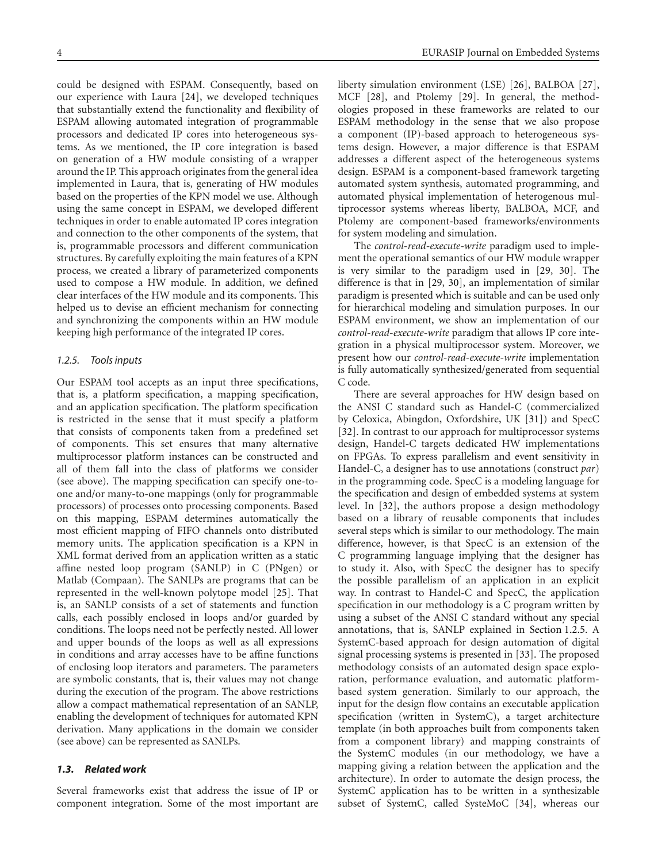could be designed with ESPAM. Consequently, based on our experience with Laura [24], we developed techniques that substantially extend the functionality and flexibility of ESPAM allowing automated integration of programmable processors and dedicated IP cores into heterogeneous systems. As we mentioned, the IP core integration is based on generation of a HW module consisting of a wrapper around the IP. This approach originates from the general idea implemented in Laura, that is, generating of HW modules based on the properties of the KPN model we use. Although using the same concept in ESPAM, we developed different techniques in order to enable automated IP cores integration and connection to the other components of the system, that is, programmable processors and different communication structures. By carefully exploiting the main features of a KPN process, we created a library of parameterized components used to compose a HW module. In addition, we defined clear interfaces of the HW module and its components. This helped us to devise an efficient mechanism for connecting and synchronizing the components within an HW module keeping high performance of the integrated IP cores.

## *1.2.5. Tools inputs*

Our ESPAM tool accepts as an input three specifications, that is, a platform specification, a mapping specification, and an application specification. The platform specification is restricted in the sense that it must specify a platform that consists of components taken from a predefined set of components. This set ensures that many alternative multiprocessor platform instances can be constructed and all of them fall into the class of platforms we consider (see above). The mapping specification can specify one-toone and/or many-to-one mappings (only for programmable processors) of processes onto processing components. Based on this mapping, ESPAM determines automatically the most efficient mapping of FIFO channels onto distributed memory units. The application specification is a KPN in XML format derived from an application written as a static affine nested loop program (SANLP) in C (PNgen) or Matlab (Compaan). The SANLPs are programs that can be represented in the well-known polytope model [25]. That is, an SANLP consists of a set of statements and function calls, each possibly enclosed in loops and/or guarded by conditions. The loops need not be perfectly nested. All lower and upper bounds of the loops as well as all expressions in conditions and array accesses have to be affine functions of enclosing loop iterators and parameters. The parameters are symbolic constants, that is, their values may not change during the execution of the program. The above restrictions allow a compact mathematical representation of an SANLP, enabling the development of techniques for automated KPN derivation. Many applications in the domain we consider (see above) can be represented as SANLPs.

## *1.3. Related work*

Several frameworks exist that address the issue of IP or component integration. Some of the most important are liberty simulation environment (LSE) [26], BALBOA [27], MCF [28], and Ptolemy [29]. In general, the methodologies proposed in these frameworks are related to our ESPAM methodology in the sense that we also propose a component (IP)-based approach to heterogeneous systems design. However, a major difference is that ESPAM addresses a different aspect of the heterogeneous systems design. ESPAM is a component-based framework targeting automated system synthesis, automated programming, and automated physical implementation of heterogenous multiprocessor systems whereas liberty, BALBOA, MCF, and Ptolemy are component-based frameworks/environments for system modeling and simulation.

The *control-read-execute-write* paradigm used to implement the operational semantics of our HW module wrapper is very similar to the paradigm used in [29, 30]. The difference is that in [29, 30], an implementation of similar paradigm is presented which is suitable and can be used only for hierarchical modeling and simulation purposes. In our ESPAM environment, we show an implementation of our *control-read-execute-write* paradigm that allows IP core integration in a physical multiprocessor system. Moreover, we present how our *control-read-execute-write* implementation is fully automatically synthesized/generated from sequential C code.

There are several approaches for HW design based on the ANSI C standard such as Handel-C (commercialized by Celoxica, Abingdon, Oxfordshire, UK [31]) and SpecC [32]. In contrast to our approach for multiprocessor systems design, Handel-C targets dedicated HW implementations on FPGAs. To express parallelism and event sensitivity in Handel-C, a designer has to use annotations (construct *par*) in the programming code. SpecC is a modeling language for the specification and design of embedded systems at system level. In [32], the authors propose a design methodology based on a library of reusable components that includes several steps which is similar to our methodology. The main difference, however, is that SpecC is an extension of the C programming language implying that the designer has to study it. Also, with SpecC the designer has to specify the possible parallelism of an application in an explicit way. In contrast to Handel-C and SpecC, the application specification in our methodology is a C program written by using a subset of the ANSI C standard without any special annotations, that is, SANLP explained in Section 1.2.5. A SystemC-based approach for design automation of digital signal processing systems is presented in [33]. The proposed methodology consists of an automated design space exploration, performance evaluation, and automatic platformbased system generation. Similarly to our approach, the input for the design flow contains an executable application specification (written in SystemC), a target architecture template (in both approaches built from components taken from a component library) and mapping constraints of the SystemC modules (in our methodology, we have a mapping giving a relation between the application and the architecture). In order to automate the design process, the SystemC application has to be written in a synthesizable subset of SystemC, called SysteMoC [34], whereas our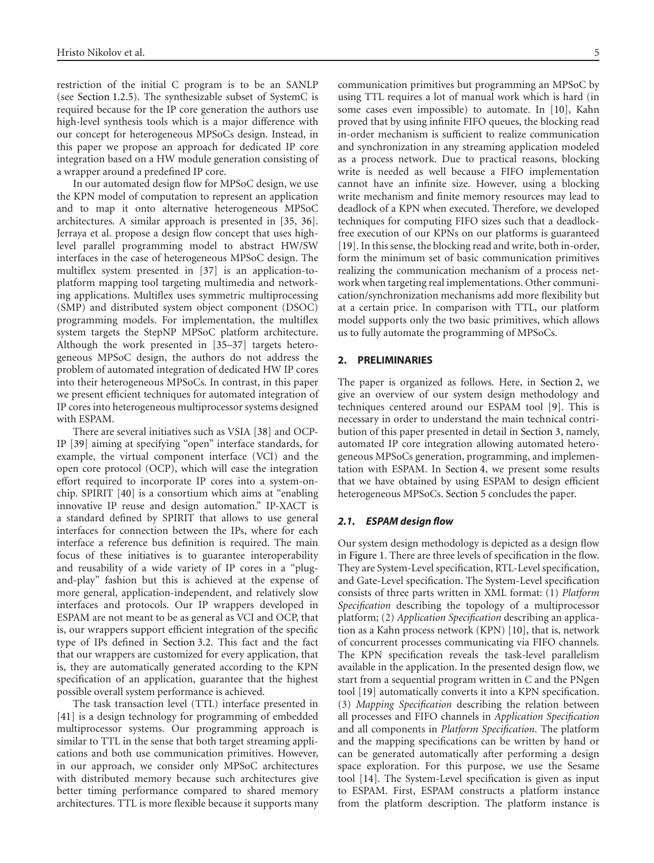restriction of the initial C program is to be an SANLP (see Section 1.2.5). The synthesizable subset of SystemC is required because for the IP core generation the authors use high-level synthesis tools which is a major difference with our concept for heterogeneous MPSoCs design. Instead, in this paper we propose an approach for dedicated IP core integration based on a HW module generation consisting of a wrapper around a predefined IP core.

In our automated design flow for MPSoC design, we use the KPN model of computation to represent an application and to map it onto alternative heterogeneous MPSoC architectures. A similar approach is presented in [35, 36]. Jerraya et al. propose a design flow concept that uses highlevel parallel programming model to abstract HW/SW interfaces in the case of heterogeneous MPSoC design. The multiflex system presented in [37] is an application-toplatform mapping tool targeting multimedia and networking applications. Multiflex uses symmetric multiprocessing (SMP) and distributed system object component (DSOC) programming models. For implementation, the multiflex system targets the StepNP MPSoC platform architecture. Although the work presented in [35–37] targets heterogeneous MPSoC design, the authors do not address the problem of automated integration of dedicated HW IP cores into their heterogeneous MPSoCs. In contrast, in this paper we present efficient techniques for automated integration of IP cores into heterogeneous multiprocessor systems designed with ESPAM.

There are several initiatives such as VSIA [38] and OCP-IP [39] aiming at specifying "open" interface standards, for example, the virtual component interface (VCI) and the open core protocol (OCP), which will ease the integration effort required to incorporate IP cores into a system-onchip. SPIRIT [40] is a consortium which aims at "enabling innovative IP reuse and design automation." IP-XACT is a standard defined by SPIRIT that allows to use general interfaces for connection between the IPs, where for each interface a reference bus definition is required. The main focus of these initiatives is to guarantee interoperability and reusability of a wide variety of IP cores in a "plugand-play" fashion but this is achieved at the expense of more general, application-independent, and relatively slow interfaces and protocols. Our IP wrappers developed in ESPAM are not meant to be as general as VCI and OCP, that is, our wrappers support efficient integration of the specific type of IPs defined in Section 3.2. This fact and the fact that our wrappers are customized for every application, that is, they are automatically generated according to the KPN specification of an application, guarantee that the highest possible overall system performance is achieved.

The task transaction level (TTL) interface presented in [41] is a design technology for programming of embedded multiprocessor systems. Our programming approach is similar to TTL in the sense that both target streaming applications and both use communication primitives. However, in our approach, we consider only MPSoC architectures with distributed memory because such architectures give better timing performance compared to shared memory architectures. TTL is more flexible because it supports many communication primitives but programming an MPSoC by using TTL requires a lot of manual work which is hard (in some cases even impossible) to automate. In [10], Kahn proved that by using infinite FIFO queues, the blocking read in-order mechanism is sufficient to realize communication and synchronization in any streaming application modeled as a process network. Due to practical reasons, blocking write is needed as well because a FIFO implementation cannot have an infinite size. However, using a blocking write mechanism and finite memory resources may lead to deadlock of a KPN when executed. Therefore, we developed techniques for computing FIFO sizes such that a deadlockfree execution of our KPNs on our platforms is guaranteed

[19]. In this sense, the blocking read and write, both in-order, form the minimum set of basic communication primitives realizing the communication mechanism of a process network when targeting real implementations. Other communication/synchronization mechanisms add more flexibility but at a certain price. In comparison with TTL, our platform model supports only the two basic primitives, which allows us to fully automate the programming of MPSoCs.

## **2. PRELIMINARIES**

The paper is organized as follows. Here, in Section 2, we give an overview of our system design methodology and techniques centered around our ESPAM tool [9]. This is necessary in order to understand the main technical contribution of this paper presented in detail in Section 3, namely, automated IP core integration allowing automated heterogeneous MPSoCs generation, programming, and implementation with ESPAM. In Section 4, we present some results that we have obtained by using ESPAM to design efficient heterogeneous MPSoCs. Section 5 concludes the paper.

#### *2.1. ESPAM design flow*

Our system design methodology is depicted as a design flow in Figure 1. There are three levels of specification in the flow. They are System-Level specification, RTL-Level specification, and Gate-Level specification. The System-Level specification consists of three parts written in XML format: (1) *Platform Specification* describing the topology of a multiprocessor platform; (2) *Application Specification* describing an application as a Kahn process network (KPN) [10], that is, network of concurrent processes communicating via FIFO channels. The KPN specification reveals the task-level parallelism available in the application. In the presented design flow, we start from a sequential program written in C and the PNgen tool [19] automatically converts it into a KPN specification. (3) *Mapping Specification* describing the relation between all processes and FIFO channels in *Application Specification* and all components in *Platform Specification*. The platform and the mapping specifications can be written by hand or can be generated automatically after performing a design space exploration. For this purpose, we use the Sesame tool [14]. The System-Level specification is given as input to ESPAM. First, ESPAM constructs a platform instance from the platform description. The platform instance is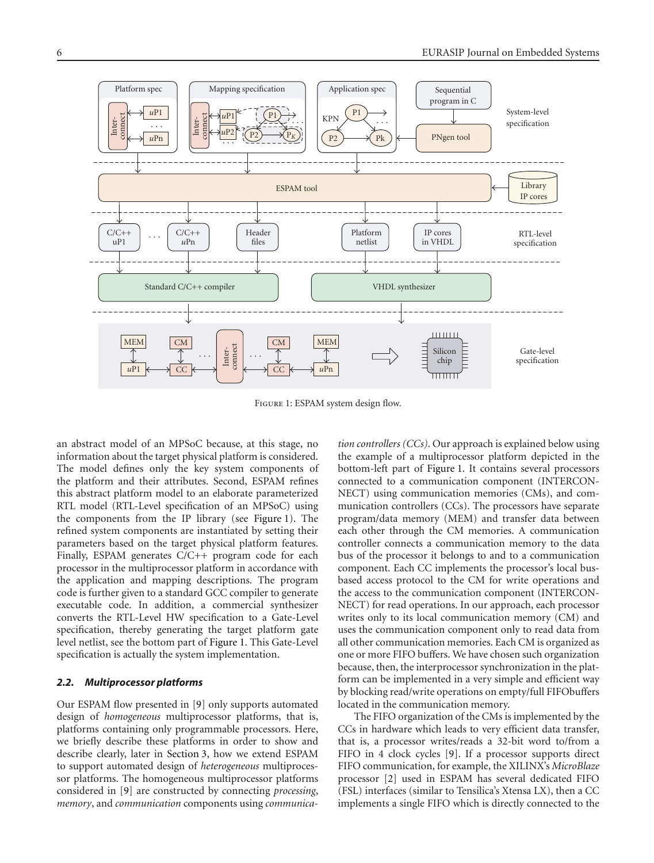

Figure 1: ESPAM system design flow.

an abstract model of an MPSoC because, at this stage, no information about the target physical platform is considered. The model defines only the key system components of the platform and their attributes. Second, ESPAM refines this abstract platform model to an elaborate parameterized RTL model (RTL-Level specification of an MPSoC) using the components from the IP library (see Figure 1). The refined system components are instantiated by setting their parameters based on the target physical platform features. Finally, ESPAM generates C/C++ program code for each processor in the multiprocessor platform in accordance with the application and mapping descriptions. The program code is further given to a standard GCC compiler to generate executable code. In addition, a commercial synthesizer converts the RTL-Level HW specification to a Gate-Level specification, thereby generating the target platform gate level netlist, see the bottom part of Figure 1. This Gate-Level specification is actually the system implementation.

## *2.2. Multiprocessor platforms*

Our ESPAM flow presented in [9] only supports automated design of *homogeneous* multiprocessor platforms, that is, platforms containing only programmable processors. Here, we briefly describe these platforms in order to show and describe clearly, later in Section 3, how we extend ESPAM to support automated design of *heterogeneous* multiprocessor platforms. The homogeneous multiprocessor platforms considered in [9] are constructed by connecting *processing*, *memory*, and *communication* components using *communica-* *tion controllers (CCs)*. Our approach is explained below using the example of a multiprocessor platform depicted in the bottom-left part of Figure 1. It contains several processors connected to a communication component (INTERCON-NECT) using communication memories (CMs), and communication controllers (CCs). The processors have separate program/data memory (MEM) and transfer data between each other through the CM memories. A communication controller connects a communication memory to the data bus of the processor it belongs to and to a communication component. Each CC implements the processor's local busbased access protocol to the CM for write operations and the access to the communication component (INTERCON-NECT) for read operations. In our approach, each processor writes only to its local communication memory (CM) and uses the communication component only to read data from all other communication memories. Each CM is organized as one or more FIFO buffers. We have chosen such organization because, then, the interprocessor synchronization in the platform can be implemented in a very simple and efficient way by blocking read/write operations on empty/full FIFObuffers located in the communication memory.

The FIFO organization of the CMs is implemented by the CCs in hardware which leads to very efficient data transfer, that is, a processor writes/reads a 32-bit word to/from a FIFO in 4 clock cycles [9]. If a processor supports direct FIFO communication, for example, the XILINX's *MicroBlaze* processor [2] used in ESPAM has several dedicated FIFO (FSL) interfaces (similar to Tensilica's Xtensa LX), then a CC implements a single FIFO which is directly connected to the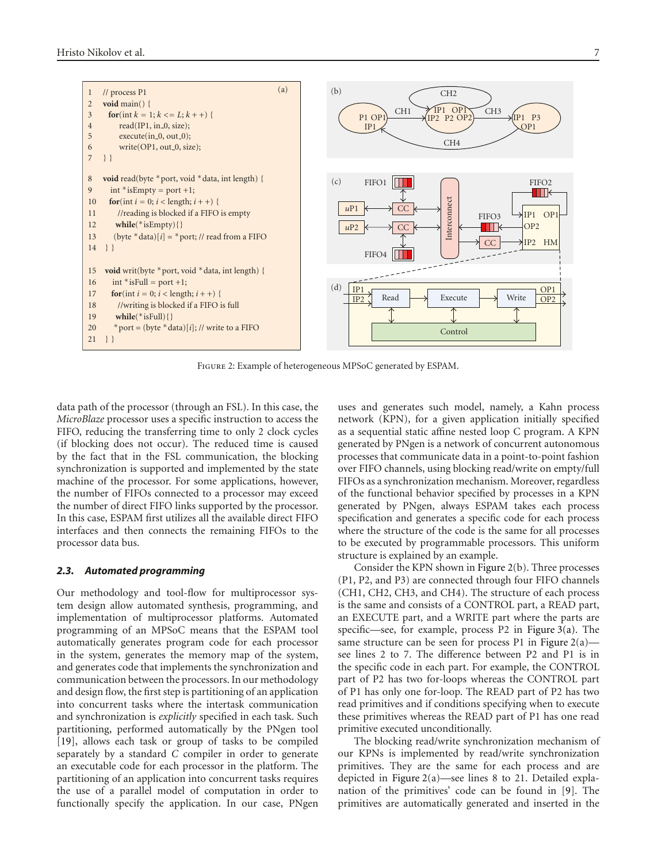

Figure 2: Example of heterogeneous MPSoC generated by ESPAM.

data path of the processor (through an FSL). In this case, the *MicroBlaze* processor uses a specific instruction to access the FIFO, reducing the transferring time to only 2 clock cycles (if blocking does not occur). The reduced time is caused by the fact that in the FSL communication, the blocking synchronization is supported and implemented by the state machine of the processor. For some applications, however, the number of FIFOs connected to a processor may exceed the number of direct FIFO links supported by the processor. In this case, ESPAM first utilizes all the available direct FIFO interfaces and then connects the remaining FIFOs to the processor data bus.

#### *2.3. Automated programming*

Our methodology and tool-flow for multiprocessor system design allow automated synthesis, programming, and implementation of multiprocessor platforms. Automated programming of an MPSoC means that the ESPAM tool automatically generates program code for each processor in the system, generates the memory map of the system, and generates code that implements the synchronization and communication between the processors. In our methodology and design flow, the first step is partitioning of an application into concurrent tasks where the intertask communication and synchronization is *explicitly* specified in each task. Such partitioning, performed automatically by the PNgen tool [19], allows each task or group of tasks to be compiled separately by a standard *C* compiler in order to generate an executable code for each processor in the platform. The partitioning of an application into concurrent tasks requires the use of a parallel model of computation in order to functionally specify the application. In our case, PNgen uses and generates such model, namely, a Kahn process network (KPN), for a given application initially specified as a sequential static affine nested loop C program. A KPN generated by PNgen is a network of concurrent autonomous processes that communicate data in a point-to-point fashion over FIFO channels, using blocking read/write on empty/full FIFOs as a synchronization mechanism. Moreover, regardless of the functional behavior specified by processes in a KPN generated by PNgen, always ESPAM takes each process specification and generates a specific code for each process where the structure of the code is the same for all processes to be executed by programmable processors. This uniform structure is explained by an example.

Consider the KPN shown in Figure 2(b). Three processes (P1, P2, and P3) are connected through four FIFO channels (CH1, CH2, CH3, and CH4). The structure of each process is the same and consists of a CONTROL part, a READ part, an EXECUTE part, and a WRITE part where the parts are specific—see, for example, process P2 in Figure 3(a). The same structure can be seen for process P1 in Figure  $2(a)$  see lines 2 to 7. The difference between P2 and P1 is in the specific code in each part. For example, the CONTROL part of P2 has two for-loops whereas the CONTROL part of P1 has only one for-loop. The READ part of P2 has two read primitives and if conditions specifying when to execute these primitives whereas the READ part of P1 has one read primitive executed unconditionally.

The blocking read/write synchronization mechanism of our KPNs is implemented by read/write synchronization primitives. They are the same for each process and are depicted in Figure 2(a)—see lines 8 to 21. Detailed explanation of the primitives' code can be found in [9]. The primitives are automatically generated and inserted in the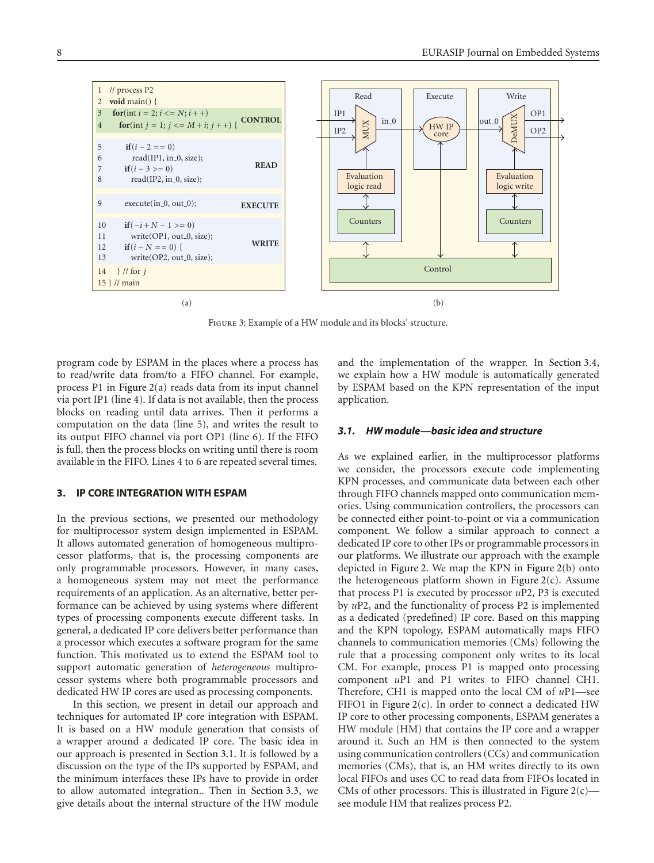

Figure 3: Example of a HW module and its blocks' structure.

program code by ESPAM in the places where a process has to read/write data from/to a FIFO channel. For example, process P1 in Figure 2(a) reads data from its input channel via port IP1 (line 4). If data is not available, then the process blocks on reading until data arrives. Then it performs a computation on the data (line 5), and writes the result to its output FIFO channel via port OP1 (line 6). If the FIFO is full, then the process blocks on writing until there is room available in the FIFO. Lines 4 to 6 are repeated several times.

#### **3. IP CORE INTEGRATION WITH ESPAM**

In the previous sections, we presented our methodology for multiprocessor system design implemented in ESPAM. It allows automated generation of homogeneous multiprocessor platforms, that is, the processing components are only programmable processors. However, in many cases, a homogeneous system may not meet the performance requirements of an application. As an alternative, better performance can be achieved by using systems where different types of processing components execute different tasks. In general, a dedicated IP core delivers better performance than a processor which executes a software program for the same function. This motivated us to extend the ESPAM tool to support automatic generation of *heterogeneous* multiprocessor systems where both programmable processors and dedicated HW IP cores are used as processing components.

In this section, we present in detail our approach and techniques for automated IP core integration with ESPAM. It is based on a HW module generation that consists of a wrapper around a dedicated IP core. The basic idea in our approach is presented in Section 3.1. It is followed by a discussion on the type of the IPs supported by ESPAM, and the minimum interfaces these IPs have to provide in order to allow automated integration.. Then in Section 3.3, we give details about the internal structure of the HW module

and the implementation of the wrapper. In Section 3.4, we explain how a HW module is automatically generated by ESPAM based on the KPN representation of the input application.

## *3.1. HW module—basic idea and structure*

As we explained earlier, in the multiprocessor platforms we consider, the processors execute code implementing KPN processes, and communicate data between each other through FIFO channels mapped onto communication memories. Using communication controllers, the processors can be connected either point-to-point or via a communication component. We follow a similar approach to connect a dedicated IP core to other IPs or programmable processors in our platforms. We illustrate our approach with the example depicted in Figure 2. We map the KPN in Figure 2(b) onto the heterogeneous platform shown in Figure  $2(c)$ . Assume that process P1 is executed by processor *u*P2, P3 is executed by *u*P2, and the functionality of process P2 is implemented as a dedicated (predefined) IP core. Based on this mapping and the KPN topology, ESPAM automatically maps FIFO channels to communication memories (CMs) following the rule that a processing component only writes to its local CM. For example, process P1 is mapped onto processing component *u*P1 and P1 writes to FIFO channel CH1. Therefore, CH1 is mapped onto the local CM of *u*P1—see FIFO1 in Figure  $2(c)$ . In order to connect a dedicated HW IP core to other processing components, ESPAM generates a HW module (HM) that contains the IP core and a wrapper around it. Such an HM is then connected to the system using communication controllers (CCs) and communication memories (CMs), that is, an HM writes directly to its own local FIFOs and uses CC to read data from FIFOs located in CMs of other processors. This is illustrated in Figure  $2(c)$  see module HM that realizes process P2.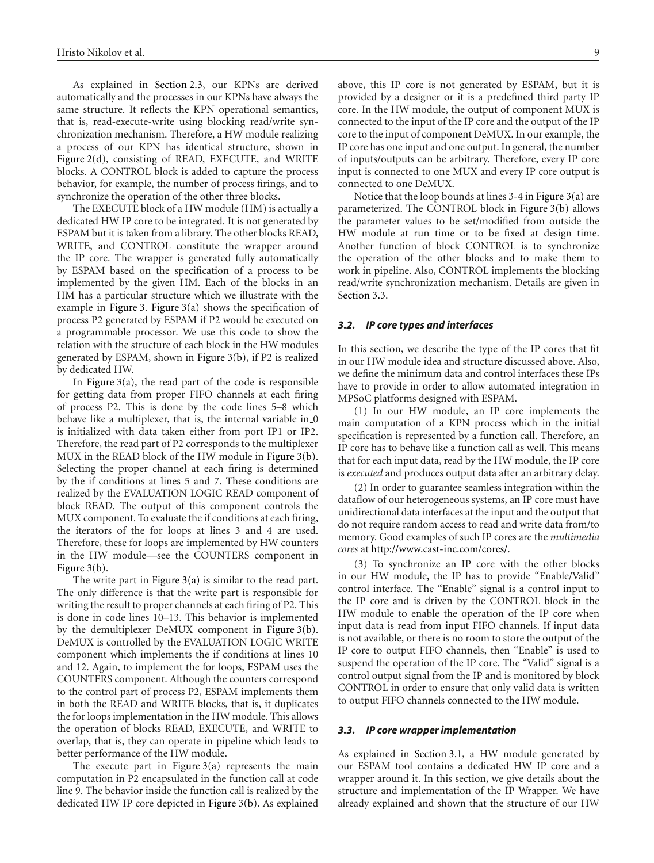As explained in Section 2.3, our KPNs are derived automatically and the processes in our KPNs have always the same structure. It reflects the KPN operational semantics, that is, read-execute-write using blocking read/write synchronization mechanism. Therefore, a HW module realizing a process of our KPN has identical structure, shown in Figure 2(d), consisting of READ, EXECUTE, and WRITE blocks. A CONTROL block is added to capture the process behavior, for example, the number of process firings, and to synchronize the operation of the other three blocks.

The EXECUTE block of a HW module (HM) is actually a dedicated HW IP core to be integrated. It is not generated by ESPAM but it is taken from a library. The other blocks READ, WRITE, and CONTROL constitute the wrapper around the IP core. The wrapper is generated fully automatically by ESPAM based on the specification of a process to be implemented by the given HM. Each of the blocks in an HM has a particular structure which we illustrate with the example in Figure 3. Figure 3(a) shows the specification of process P2 generated by ESPAM if P2 would be executed on a programmable processor. We use this code to show the relation with the structure of each block in the HW modules generated by ESPAM, shown in Figure 3(b), if P2 is realized by dedicated HW.

In Figure  $3(a)$ , the read part of the code is responsible for getting data from proper FIFO channels at each firing of process P2. This is done by the code lines 5–8 which behave like a multiplexer, that is, the internal variable in  $\alpha$ is initialized with data taken either from port IP1 or IP2. Therefore, the read part of P2 corresponds to the multiplexer MUX in the READ block of the HW module in Figure 3(b). Selecting the proper channel at each firing is determined by the if conditions at lines 5 and 7. These conditions are realized by the EVALUATION LOGIC READ component of block READ. The output of this component controls the MUX component. To evaluate the if conditions at each firing, the iterators of the for loops at lines 3 and 4 are used. Therefore, these for loops are implemented by HW counters in the HW module—see the COUNTERS component in Figure 3(b).

The write part in Figure  $3(a)$  is similar to the read part. The only difference is that the write part is responsible for writing the result to proper channels at each firing of P2. This is done in code lines 10–13. This behavior is implemented by the demultiplexer DeMUX component in Figure 3(b). DeMUX is controlled by the EVALUATION LOGIC WRITE component which implements the if conditions at lines 10 and 12. Again, to implement the for loops, ESPAM uses the COUNTERS component. Although the counters correspond to the control part of process P2, ESPAM implements them in both the READ and WRITE blocks, that is, it duplicates the for loops implementation in the HW module. This allows the operation of blocks READ, EXECUTE, and WRITE to overlap, that is, they can operate in pipeline which leads to better performance of the HW module.

The execute part in Figure  $3(a)$  represents the main computation in P2 encapsulated in the function call at code line 9. The behavior inside the function call is realized by the dedicated HW IP core depicted in Figure 3(b). As explained above, this IP core is not generated by ESPAM, but it is provided by a designer or it is a predefined third party IP core. In the HW module, the output of component MUX is connected to the input of the IP core and the output of the IP core to the input of component DeMUX. In our example, the IP core has one input and one output. In general, the number of inputs/outputs can be arbitrary. Therefore, every IP core input is connected to one MUX and every IP core output is connected to one DeMUX.

Notice that the loop bounds at lines 3-4 in Figure 3(a) are parameterized. The CONTROL block in Figure 3(b) allows the parameter values to be set/modified from outside the HW module at run time or to be fixed at design time. Another function of block CONTROL is to synchronize the operation of the other blocks and to make them to work in pipeline. Also, CONTROL implements the blocking read/write synchronization mechanism. Details are given in Section 3.3.

#### *3.2. IP core types and interfaces*

In this section, we describe the type of the IP cores that fit in our HW module idea and structure discussed above. Also, we define the minimum data and control interfaces these IPs have to provide in order to allow automated integration in MPSoC platforms designed with ESPAM.

(1) In our HW module, an IP core implements the main computation of a KPN process which in the initial specification is represented by a function call. Therefore, an IP core has to behave like a function call as well. This means that for each input data, read by the HW module, the IP core is *executed* and produces output data after an arbitrary delay.

(2) In order to guarantee seamless integration within the dataflow of our heterogeneous systems, an IP core must have unidirectional data interfaces at the input and the output that do not require random access to read and write data from/to memory. Good examples of such IP cores are the *multimedia cores* at http://www.cast-inc.com/cores/.

(3) To synchronize an IP core with the other blocks in our HW module, the IP has to provide "Enable/Valid" control interface. The "Enable" signal is a control input to the IP core and is driven by the CONTROL block in the HW module to enable the operation of the IP core when input data is read from input FIFO channels. If input data is not available, or there is no room to store the output of the IP core to output FIFO channels, then "Enable" is used to suspend the operation of the IP core. The "Valid" signal is a control output signal from the IP and is monitored by block CONTROL in order to ensure that only valid data is written to output FIFO channels connected to the HW module.

#### *3.3. IP core wrapper implementation*

As explained in Section 3.1, a HW module generated by our ESPAM tool contains a dedicated HW IP core and a wrapper around it. In this section, we give details about the structure and implementation of the IP Wrapper. We have already explained and shown that the structure of our HW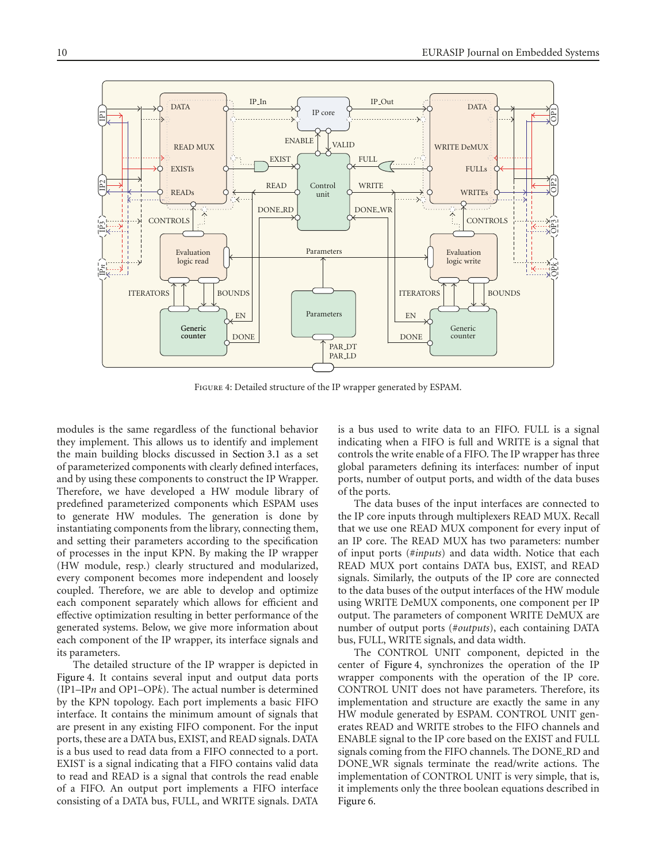

Figure 4: Detailed structure of the IP wrapper generated by ESPAM.

modules is the same regardless of the functional behavior they implement. This allows us to identify and implement the main building blocks discussed in Section 3.1 as a set of parameterized components with clearly defined interfaces, and by using these components to construct the IP Wrapper. Therefore, we have developed a HW module library of predefined parameterized components which ESPAM uses to generate HW modules. The generation is done by instantiating components from the library, connecting them, and setting their parameters according to the specification of processes in the input KPN. By making the IP wrapper (HW module, resp.) clearly structured and modularized, every component becomes more independent and loosely coupled. Therefore, we are able to develop and optimize each component separately which allows for efficient and effective optimization resulting in better performance of the generated systems. Below, we give more information about each component of the IP wrapper, its interface signals and its parameters.

The detailed structure of the IP wrapper is depicted in Figure 4. It contains several input and output data ports (IP1–IP*n* and OP1–OP*k*). The actual number is determined by the KPN topology. Each port implements a basic FIFO interface. It contains the minimum amount of signals that are present in any existing FIFO component. For the input ports, these are a DATA bus, EXIST, and READ signals. DATA is a bus used to read data from a FIFO connected to a port. EXIST is a signal indicating that a FIFO contains valid data to read and READ is a signal that controls the read enable of a FIFO. An output port implements a FIFO interface consisting of a DATA bus, FULL, and WRITE signals. DATA

is a bus used to write data to an FIFO. FULL is a signal indicating when a FIFO is full and WRITE is a signal that controls the write enable of a FIFO. The IP wrapper has three global parameters defining its interfaces: number of input ports, number of output ports, and width of the data buses of the ports.

The data buses of the input interfaces are connected to the IP core inputs through multiplexers READ MUX. Recall that we use one READ MUX component for every input of an IP core. The READ MUX has two parameters: number of input ports (#*inputs*) and data width. Notice that each READ MUX port contains DATA bus, EXIST, and READ signals. Similarly, the outputs of the IP core are connected to the data buses of the output interfaces of the HW module using WRITE DeMUX components, one component per IP output. The parameters of component WRITE DeMUX are number of output ports (#*outputs*), each containing DATA bus, FULL, WRITE signals, and data width.

The CONTROL UNIT component, depicted in the center of Figure 4, synchronizes the operation of the IP wrapper components with the operation of the IP core. CONTROL UNIT does not have parameters. Therefore, its implementation and structure are exactly the same in any HW module generated by ESPAM. CONTROL UNIT generates READ and WRITE strobes to the FIFO channels and ENABLE signal to the IP core based on the EXIST and FULL signals coming from the FIFO channels. The DONE RD and DONE WR signals terminate the read/write actions. The implementation of CONTROL UNIT is very simple, that is, it implements only the three boolean equations described in Figure 6.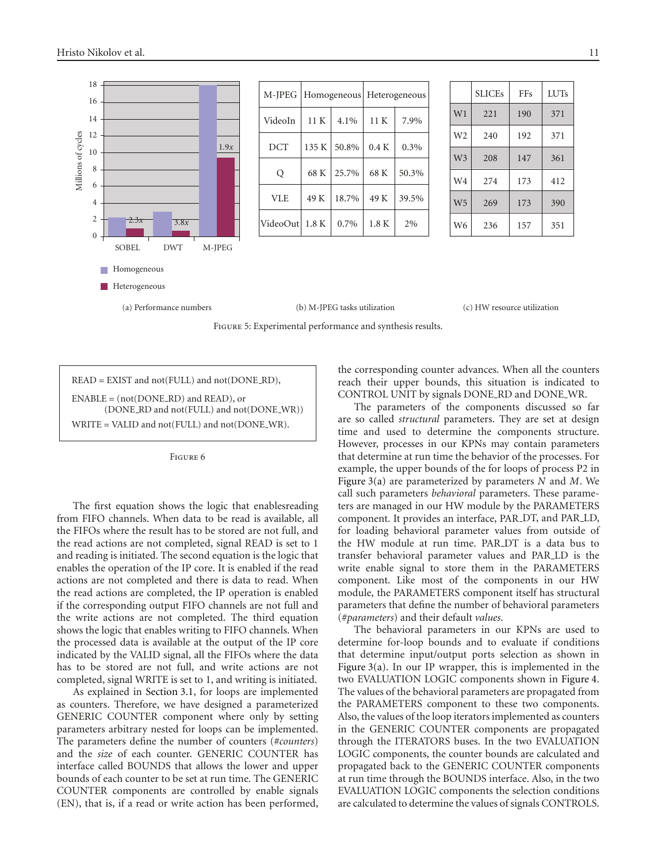

| M-IPEG     | Homogeneous |             | Heterogeneous |       |
|------------|-------------|-------------|---------------|-------|
| VideoIn    | 11K         | 4.1%        | 11K           | 7.9%  |
| <b>DCT</b> |             | 135 K 50.8% | 0.4 K         | 0.3%  |
| Q          | 68 K        | 25.7%       | 68 K          | 50.3% |
| <b>VLE</b> | 49 K        | 18.7%       | 49 K          | 39.5% |
| VideoOut   | 1.8K        | $0.7\%$     | 1.8K          | 2%    |

|                | <b>SLICEs</b> | FFs | <b>LUTs</b> |
|----------------|---------------|-----|-------------|
| W1             | 221           | 190 | 371         |
| W <sub>2</sub> | 240           | 192 | 371         |
| W <sub>3</sub> | 208           | 147 | 361         |
| W <sub>4</sub> | 274           | 173 | 412         |
| W <sub>5</sub> | 269           | 173 | 390         |
| W <sub>6</sub> | 236           | 157 | 351         |

Figure 5: Experimental performance and synthesis results.

READ = EXIST and not(FULL) and not(DONE RD),  $ENABLE = (not(DONE_RD)$  and  $READ)$ , or (DONE RD and not(FULL) and not(DONE WR)) WRITE = VALID and not(FULL) and not(DONE\_WR).



The first equation shows the logic that enablesreading from FIFO channels. When data to be read is available, all the FIFOs where the result has to be stored are not full, and the read actions are not completed, signal READ is set to 1 and reading is initiated. The second equation is the logic that enables the operation of the IP core. It is enabled if the read actions are not completed and there is data to read. When the read actions are completed, the IP operation is enabled if the corresponding output FIFO channels are not full and the write actions are not completed. The third equation shows the logic that enables writing to FIFO channels. When the processed data is available at the output of the IP core indicated by the VALID signal, all the FIFOs where the data has to be stored are not full, and write actions are not completed, signal WRITE is set to 1, and writing is initiated.

As explained in Section 3.1, for loops are implemented as counters. Therefore, we have designed a parameterized GENERIC COUNTER component where only by setting parameters arbitrary nested for loops can be implemented. The parameters define the number of counters (#*counters*) and the *size* of each counter. GENERIC COUNTER has interface called BOUNDS that allows the lower and upper bounds of each counter to be set at run time. The GENERIC COUNTER components are controlled by enable signals (EN), that is, if a read or write action has been performed,

the corresponding counter advances. When all the counters reach their upper bounds, this situation is indicated to CONTROL UNIT by signals DONE RD and DONE WR.

The parameters of the components discussed so far are so called *structural* parameters. They are set at design time and used to determine the components structure. However, processes in our KPNs may contain parameters that determine at run time the behavior of the processes. For example, the upper bounds of the for loops of process P2 in Figure 3(a) are parameterized by parameters *N* and *M*. We call such parameters *behavioral* parameters. These parameters are managed in our HW module by the PARAMETERS component. It provides an interface, PAR DT, and PAR LD, for loading behavioral parameter values from outside of the HW module at run time. PAR DT is a data bus to transfer behavioral parameter values and PAR LD is the write enable signal to store them in the PARAMETERS component. Like most of the components in our HW module, the PARAMETERS component itself has structural parameters that define the number of behavioral parameters (#*parameters*) and their default *values*.

The behavioral parameters in our KPNs are used to determine for-loop bounds and to evaluate if conditions that determine input/output ports selection as shown in Figure  $3(a)$ . In our IP wrapper, this is implemented in the two EVALUATION LOGIC components shown in Figure 4. The values of the behavioral parameters are propagated from the PARAMETERS component to these two components. Also, the values of the loop iterators implemented as counters in the GENERIC COUNTER components are propagated through the ITERATORS buses. In the two EVALUATION LOGIC components, the counter bounds are calculated and propagated back to the GENERIC COUNTER components at run time through the BOUNDS interface. Also, in the two EVALUATION LOGIC components the selection conditions are calculated to determine the values of signals CONTROLS.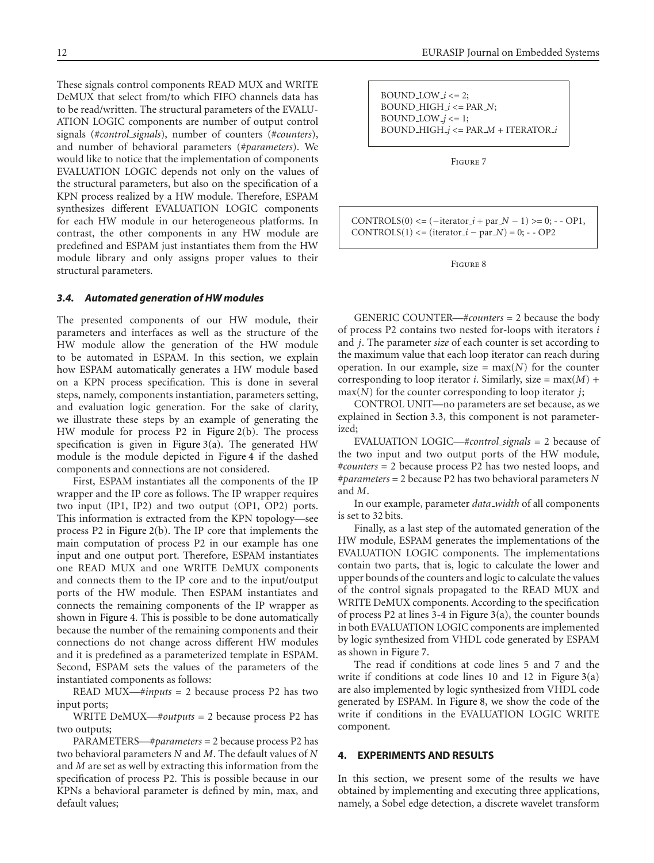These signals control components READ MUX and WRITE DeMUX that select from/to which FIFO channels data has to be read/written. The structural parameters of the EVALU-ATION LOGIC components are number of output control signals (#*control signals*), number of counters (#*counters*), and number of behavioral parameters (#*parameters*). We would like to notice that the implementation of components EVALUATION LOGIC depends not only on the values of the structural parameters, but also on the specification of a KPN process realized by a HW module. Therefore, ESPAM synthesizes different EVALUATION LOGIC components for each HW module in our heterogeneous platforms. In contrast, the other components in any HW module are predefined and ESPAM just instantiates them from the HW module library and only assigns proper values to their structural parameters.

#### *3.4. Automated generation of HW modules*

The presented components of our HW module, their parameters and interfaces as well as the structure of the HW module allow the generation of the HW module to be automated in ESPAM. In this section, we explain how ESPAM automatically generates a HW module based on a KPN process specification. This is done in several steps, namely, components instantiation, parameters setting, and evaluation logic generation. For the sake of clarity, we illustrate these steps by an example of generating the HW module for process P2 in Figure 2(b). The process specification is given in Figure  $3(a)$ . The generated HW module is the module depicted in Figure 4 if the dashed components and connections are not considered.

First, ESPAM instantiates all the components of the IP wrapper and the IP core as follows. The IP wrapper requires two input (IP1, IP2) and two output (OP1, OP2) ports. This information is extracted from the KPN topology—see process P2 in Figure 2(b). The IP core that implements the main computation of process P2 in our example has one input and one output port. Therefore, ESPAM instantiates one READ MUX and one WRITE DeMUX components and connects them to the IP core and to the input/output ports of the HW module. Then ESPAM instantiates and connects the remaining components of the IP wrapper as shown in Figure 4. This is possible to be done automatically because the number of the remaining components and their connections do not change across different HW modules and it is predefined as a parameterized template in ESPAM. Second, ESPAM sets the values of the parameters of the instantiated components as follows:

READ MUX—#*inputs* = 2 because process P2 has two input ports;

WRITE DeMUX—#*outputs* = 2 because process P2 has two outputs;

PARAMETERS—#*parameters* = 2 because process P2 has two behavioral parameters *N* and *M*. The default values of *N* and *M* are set as well by extracting this information from the specification of process P2. This is possible because in our KPNs a behavioral parameter is defined by min, max, and default values;

BOUND LOW *i <*= 2; BOUND HIGH *i <*= PAR *N*; BOUND\_LOW\_ $j \leq 1$ ; BOUND HIGH *j <*= PAR *M* + ITERATOR *i*

Figure 7

CONTROLS(0) < =  $(- \text{iterator}_i + \text{par}_i - 1)$  > = 0; - - OP1,  $CONTROLS(1) \leq (iterator_i - par_N) = 0; -OP2$ 

Figure 8

GENERIC COUNTER—#*counters* = 2 because the body of process P2 contains two nested for-loops with iterators *i* and *j*. The parameter *size* of each counter is set according to the maximum value that each loop iterator can reach during operation. In our example, size =  $max(N)$  for the counter corresponding to loop iterator *i*. Similarly, size =  $max(M)$  + max(*N*) for the counter corresponding to loop iterator *j*;

CONTROL UNIT—no parameters are set because, as we explained in Section 3.3, this component is not parameterized;

EVALUATION LOGIC—#*control signals* = 2 because of the two input and two output ports of the HW module, #*counters* = 2 because process P2 has two nested loops, and #*parameters* = 2 because P2 has two behavioral parameters *N* and *M*.

In our example, parameter *data width* of all components is set to 32 bits.

Finally, as a last step of the automated generation of the HW module, ESPAM generates the implementations of the EVALUATION LOGIC components. The implementations contain two parts, that is, logic to calculate the lower and upper bounds of the counters and logic to calculate the values of the control signals propagated to the READ MUX and WRITE DeMUX components. According to the specification of process P2 at lines 3-4 in Figure 3(a), the counter bounds in both EVALUATION LOGIC components are implemented by logic synthesized from VHDL code generated by ESPAM as shown in Figure 7.

The read if conditions at code lines 5 and 7 and the write if conditions at code lines 10 and 12 in Figure 3(a) are also implemented by logic synthesized from VHDL code generated by ESPAM. In Figure 8, we show the code of the write if conditions in the EVALUATION LOGIC WRITE component.

## **4. EXPERIMENTS AND RESULTS**

In this section, we present some of the results we have obtained by implementing and executing three applications, namely, a Sobel edge detection, a discrete wavelet transform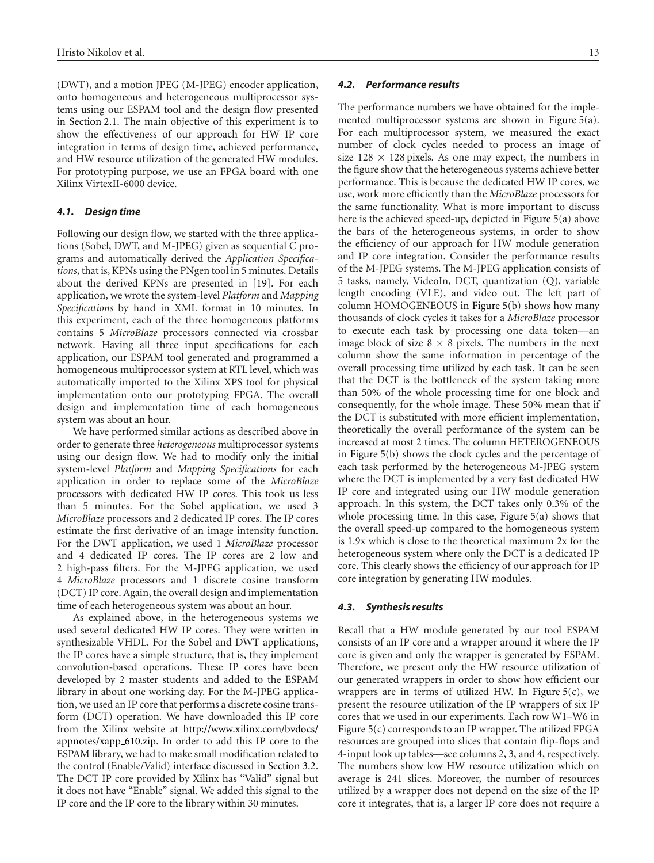(DWT), and a motion JPEG (M-JPEG) encoder application, onto homogeneous and heterogeneous multiprocessor systems using our ESPAM tool and the design flow presented in Section 2.1. The main objective of this experiment is to show the effectiveness of our approach for HW IP core integration in terms of design time, achieved performance, and HW resource utilization of the generated HW modules. For prototyping purpose, we use an FPGA board with one Xilinx VirtexII-6000 device.

#### *4.1. Design time*

Following our design flow, we started with the three applications (Sobel, DWT, and M-JPEG) given as sequential C programs and automatically derived the *Application Specifications*, that is, KPNs using the PNgen tool in 5 minutes. Details about the derived KPNs are presented in [19]. For each application, we wrote the system-level *Platform* and *Mapping Specifications* by hand in XML format in 10 minutes. In this experiment, each of the three homogeneous platforms contains 5 *MicroBlaze* processors connected via crossbar network. Having all three input specifications for each application, our ESPAM tool generated and programmed a homogeneous multiprocessor system at RTL level, which was automatically imported to the Xilinx XPS tool for physical implementation onto our prototyping FPGA. The overall design and implementation time of each homogeneous system was about an hour.

We have performed similar actions as described above in order to generate three *heterogeneous* multiprocessor systems using our design flow. We had to modify only the initial system-level *Platform* and *Mapping Specifications* for each application in order to replace some of the *MicroBlaze* processors with dedicated HW IP cores. This took us less than 5 minutes. For the Sobel application, we used 3 *MicroBlaze* processors and 2 dedicated IP cores. The IP cores estimate the first derivative of an image intensity function. For the DWT application, we used 1 *MicroBlaze* processor and 4 dedicated IP cores. The IP cores are 2 low and 2 high-pass filters. For the M-JPEG application, we used 4 *MicroBlaze* processors and 1 discrete cosine transform (DCT) IP core. Again, the overall design and implementation time of each heterogeneous system was about an hour.

As explained above, in the heterogeneous systems we used several dedicated HW IP cores. They were written in synthesizable VHDL. For the Sobel and DWT applications, the IP cores have a simple structure, that is, they implement convolution-based operations. These IP cores have been developed by 2 master students and added to the ESPAM library in about one working day. For the M-JPEG application, we used an IP core that performs a discrete cosine transform (DCT) operation. We have downloaded this IP core from the Xilinx website at http://www.xilinx.com/bvdocs/ appnotes/xapp 610.zip. In order to add this IP core to the ESPAM library, we had to make small modification related to the control (Enable/Valid) interface discussed in Section 3.2. The DCT IP core provided by Xilinx has "Valid" signal but it does not have "Enable" signal. We added this signal to the IP core and the IP core to the library within 30 minutes.

#### *4.2. Performance results*

The performance numbers we have obtained for the implemented multiprocessor systems are shown in Figure 5(a). For each multiprocessor system, we measured the exact number of clock cycles needed to process an image of size  $128 \times 128$  pixels. As one may expect, the numbers in the figure show that the heterogeneous systems achieve better performance. This is because the dedicated HW IP cores, we use, work more efficiently than the *MicroBlaze* processors for the same functionality. What is more important to discuss here is the achieved speed-up, depicted in Figure 5(a) above the bars of the heterogeneous systems, in order to show the efficiency of our approach for HW module generation and IP core integration. Consider the performance results of the M-JPEG systems. The M-JPEG application consists of 5 tasks, namely, VideoIn, DCT, quantization (Q), variable length encoding (VLE), and video out. The left part of column HOMOGENEOUS in Figure 5(b) shows how many thousands of clock cycles it takes for a *MicroBlaze* processor to execute each task by processing one data token—an image block of size  $8 \times 8$  pixels. The numbers in the next column show the same information in percentage of the overall processing time utilized by each task. It can be seen that the DCT is the bottleneck of the system taking more than 50% of the whole processing time for one block and consequently, for the whole image. These 50% mean that if the DCT is substituted with more efficient implementation, theoretically the overall performance of the system can be increased at most 2 times. The column HETEROGENEOUS in Figure 5(b) shows the clock cycles and the percentage of each task performed by the heterogeneous M-JPEG system where the DCT is implemented by a very fast dedicated HW IP core and integrated using our HW module generation approach. In this system, the DCT takes only 0.3% of the whole processing time. In this case, Figure 5(a) shows that the overall speed-up compared to the homogeneous system is 1.9x which is close to the theoretical maximum 2x for the heterogeneous system where only the DCT is a dedicated IP core. This clearly shows the efficiency of our approach for IP core integration by generating HW modules.

#### *4.3. Synthesis results*

Recall that a HW module generated by our tool ESPAM consists of an IP core and a wrapper around it where the IP core is given and only the wrapper is generated by ESPAM. Therefore, we present only the HW resource utilization of our generated wrappers in order to show how efficient our wrappers are in terms of utilized HW. In Figure  $5(c)$ , we present the resource utilization of the IP wrappers of six IP cores that we used in our experiments. Each row W1–W6 in Figure 5(c) corresponds to an IP wrapper. The utilized FPGA resources are grouped into slices that contain flip-flops and 4-input look up tables—see columns 2, 3, and 4, respectively. The numbers show low HW resource utilization which on average is 241 slices. Moreover, the number of resources utilized by a wrapper does not depend on the size of the IP core it integrates, that is, a larger IP core does not require a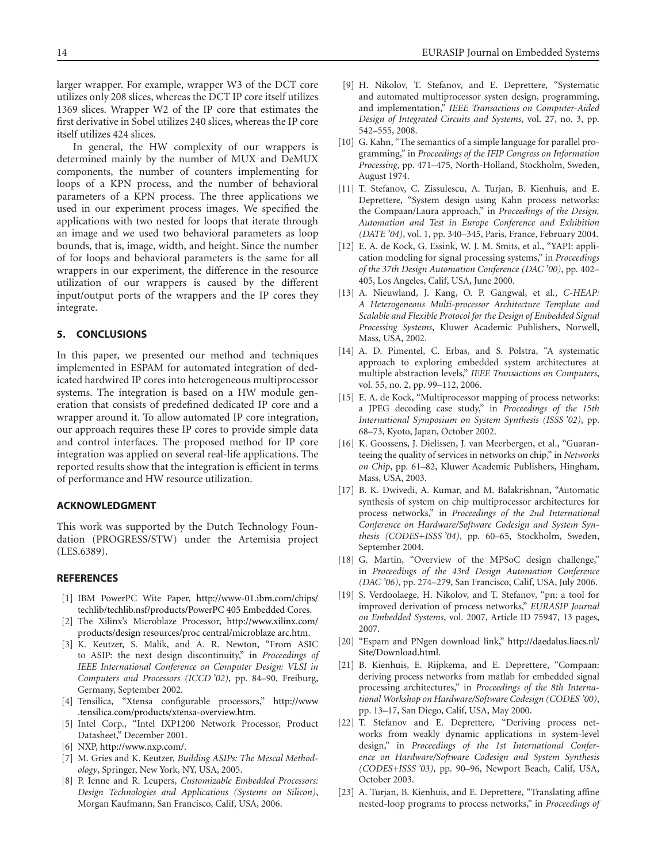larger wrapper. For example, wrapper W3 of the DCT core utilizes only 208 slices, whereas the DCT IP core itself utilizes 1369 slices. Wrapper W2 of the IP core that estimates the first derivative in Sobel utilizes 240 slices, whereas the IP core itself utilizes 424 slices.

In general, the HW complexity of our wrappers is determined mainly by the number of MUX and DeMUX components, the number of counters implementing for loops of a KPN process, and the number of behavioral parameters of a KPN process. The three applications we used in our experiment process images. We specified the applications with two nested for loops that iterate through an image and we used two behavioral parameters as loop bounds, that is, image, width, and height. Since the number of for loops and behavioral parameters is the same for all wrappers in our experiment, the difference in the resource utilization of our wrappers is caused by the different input/output ports of the wrappers and the IP cores they integrate.

## **5. CONCLUSIONS**

In this paper, we presented our method and techniques implemented in ESPAM for automated integration of dedicated hardwired IP cores into heterogeneous multiprocessor systems. The integration is based on a HW module generation that consists of predefined dedicated IP core and a wrapper around it. To allow automated IP core integration, our approach requires these IP cores to provide simple data and control interfaces. The proposed method for IP core integration was applied on several real-life applications. The reported results show that the integration is efficient in terms of performance and HW resource utilization.

#### **ACKNOWLEDGMENT**

This work was supported by the Dutch Technology Foundation (PROGRESS/STW) under the Artemisia project (LES.6389).

#### **REFERENCES**

- [1] IBM PowerPC Wite Paper, http://www-01.ibm.com/chips/ techlib/techlib.nsf/products/PowerPC 405 Embedded Cores.
- [2] The Xilinx's Microblaze Processor, http://www.xilinx.com/ products/design resources/proc central/microblaze arc.htm.
- [3] K. Keutzer, S. Malik, and A. R. Newton, "From ASIC to ASIP: the next design discontinuity," in *Proceedings of IEEE International Conference on Computer Design: VLSI in Computers and Processors (ICCD '02)*, pp. 84–90, Freiburg, Germany, September 2002.
- [4] Tensilica, "Xtensa configurable processors," http://www .tensilica.com/products/xtensa-overview.htm.
- [5] Intel Corp., "Intel IXP1200 Network Processor, Product Datasheet," December 2001.
- [6] NXP, http://www.nxp.com/.
- [7] M. Gries and K. Keutzer, *Building ASIPs: The Mescal Methodology*, Springer, New York, NY, USA, 2005.
- [8] P. Ienne and R. Leupers, *Customizable Embedded Processors: Design Technologies and Applications (Systems on Silicon)*, Morgan Kaufmann, San Francisco, Calif, USA, 2006.
- [9] H. Nikolov, T. Stefanov, and E. Deprettere, "Systematic and automated multiprocessor systen design, programming, and implementation," *IEEE Transactions on Computer-Aided Design of Integrated Circuits and Systems*, vol. 27, no. 3, pp. 542–555, 2008.
- [10] G. Kahn, "The semantics of a simple language for parallel programming," in *Proceedings of the IFIP Congress on Information Processing*, pp. 471–475, North-Holland, Stockholm, Sweden, August 1974.
- [11] T. Stefanov, C. Zissulescu, A. Turjan, B. Kienhuis, and E. Deprettere, "System design using Kahn process networks: the Compaan/Laura approach," in *Proceedings of the Design, Automation and Test in Europe Conference and Exhibition (DATE '04)*, vol. 1, pp. 340–345, Paris, France, February 2004.
- [12] E. A. de Kock, G. Essink, W. J. M. Smits, et al., "YAPI: application modeling for signal processing systems," in *Proceedings of the 37th Design Automation Conference (DAC '00)*, pp. 402– 405, Los Angeles, Calif, USA, June 2000.
- [13] A. Nieuwland, J. Kang, O. P. Gangwal, et al., *C-HEAP: A Heterogeneous Multi-processor Architecture Template and Scalable and Flexible Protocol for the Design of Embedded Signal Processing Systems*, Kluwer Academic Publishers, Norwell, Mass, USA, 2002.
- [14] A. D. Pimentel, C. Erbas, and S. Polstra, "A systematic approach to exploring embedded system architectures at multiple abstraction levels," *IEEE Transactions on Computers*, vol. 55, no. 2, pp. 99–112, 2006.
- [15] E. A. de Kock, "Multiprocessor mapping of process networks: a JPEG decoding case study," in *Proceedings of the 15th International Symposium on System Synthesis (ISSS '02)*, pp. 68–73, Kyoto, Japan, October 2002.
- [16] K. Goossens, J. Dielissen, J. van Meerbergen, et al., "Guaranteeing the quality of services in networks on chip," in *Networks on Chip*, pp. 61–82, Kluwer Academic Publishers, Hingham, Mass, USA, 2003.
- [17] B. K. Dwivedi, A. Kumar, and M. Balakrishnan, "Automatic synthesis of system on chip multiprocessor architectures for process networks," in *Proceedings of the 2nd International Conference on Hardware/Software Codesign and System Synthesis (CODES+ISSS '04)*, pp. 60–65, Stockholm, Sweden, September 2004.
- [18] G. Martin, "Overview of the MPSoC design challenge," in *Proceedings of the 43rd Design Automation Conference (DAC '06)*, pp. 274–279, San Francisco, Calif, USA, July 2006.
- [19] S. Verdoolaege, H. Nikolov, and T. Stefanov, "pn: a tool for improved derivation of process networks," *EURASIP Journal on Embedded Systems*, vol. 2007, Article ID 75947, 13 pages, 2007.
- [20] "Espam and PNgen download link," http://daedalus.liacs.nl/ Site/Download.html.
- [21] B. Kienhuis, E. Rijpkema, and E. Deprettere, "Compaan: deriving process networks from matlab for embedded signal processing architectures," in *Proceedings of the 8th International Workshop on Hardware/Software Codesign (CODES '00)*, pp. 13–17, San Diego, Calif, USA, May 2000.
- [22] T. Stefanov and E. Deprettere, "Deriving process networks from weakly dynamic applications in system-level design," in *Proceedings of the 1st International Conference on Hardware/Software Codesign and System Synthesis (CODES+ISSS '03)*, pp. 90–96, Newport Beach, Calif, USA, October 2003.
- [23] A. Turjan, B. Kienhuis, and E. Deprettere, "Translating affine nested-loop programs to process networks," in *Proceedings of*